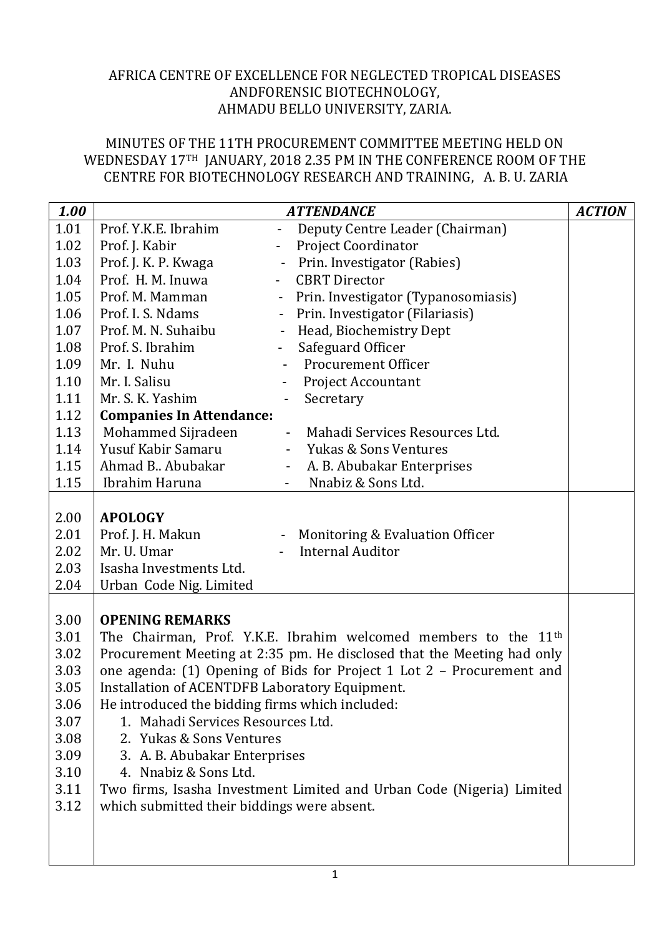## AFRICA CENTRE OF EXCELLENCE FOR NEGLECTED TROPICAL DISEASES ANDFORENSIC BIOTECHNOLOGY, AHMADU BELLO UNIVERSITY, ZARIA.

## MINUTES OF THE 11TH PROCUREMENT COMMITTEE MEETING HELD ON WEDNESDAY 17TH JANUARY, 2018 2.35 PM IN THE CONFERENCE ROOM OF THE CENTRE FOR BIOTECHNOLOGY RESEARCH AND TRAINING, A. B. U. ZARIA

| 1.00 | <b>ATTENDANCE</b>                                                           |                                                        |  |  |  |  |
|------|-----------------------------------------------------------------------------|--------------------------------------------------------|--|--|--|--|
| 1.01 | Prof. Y.K.E. Ibrahim                                                        | Deputy Centre Leader (Chairman)                        |  |  |  |  |
| 1.02 | Prof. J. Kabir                                                              | <b>Project Coordinator</b><br>$\overline{\phantom{a}}$ |  |  |  |  |
| 1.03 | Prof. J. K. P. Kwaga                                                        | Prin. Investigator (Rabies)                            |  |  |  |  |
| 1.04 | Prof. H. M. Inuwa                                                           | <b>CBRT</b> Director<br>$\blacksquare$                 |  |  |  |  |
| 1.05 | Prof. M. Mamman                                                             | Prin. Investigator (Typanosomiasis)<br>$\blacksquare$  |  |  |  |  |
| 1.06 | Prof. I. S. Ndams                                                           | Prin. Investigator (Filariasis)<br>$\sim$              |  |  |  |  |
| 1.07 | Prof. M. N. Suhaibu                                                         | Head, Biochemistry Dept<br>$\blacksquare$              |  |  |  |  |
| 1.08 | Prof. S. Ibrahim                                                            | Safeguard Officer<br>$\blacksquare$                    |  |  |  |  |
| 1.09 | Mr. I. Nuhu                                                                 | <b>Procurement Officer</b>                             |  |  |  |  |
| 1.10 | Mr. I. Salisu                                                               | <b>Project Accountant</b><br>$\overline{\phantom{0}}$  |  |  |  |  |
| 1.11 | Mr. S. K. Yashim                                                            | Secretary<br>$\qquad \qquad \blacksquare$              |  |  |  |  |
| 1.12 | <b>Companies In Attendance:</b>                                             |                                                        |  |  |  |  |
| 1.13 | Mohammed Sijradeen                                                          | Mahadi Services Resources Ltd.<br>$\blacksquare$       |  |  |  |  |
| 1.14 | Yusuf Kabir Samaru                                                          | - Yukas & Sons Ventures                                |  |  |  |  |
| 1.15 | Ahmad B. Abubakar                                                           | A. B. Abubakar Enterprises<br>$\sim$                   |  |  |  |  |
| 1.15 | Ibrahim Haruna                                                              | Nnabiz & Sons Ltd.                                     |  |  |  |  |
|      |                                                                             |                                                        |  |  |  |  |
| 2.00 | <b>APOLOGY</b>                                                              |                                                        |  |  |  |  |
| 2.01 | Prof. J. H. Makun                                                           | Monitoring & Evaluation Officer                        |  |  |  |  |
| 2.02 | Mr. U. Umar                                                                 | <b>Internal Auditor</b>                                |  |  |  |  |
| 2.03 | Isasha Investments Ltd.                                                     |                                                        |  |  |  |  |
| 2.04 | Urban Code Nig. Limited                                                     |                                                        |  |  |  |  |
|      |                                                                             |                                                        |  |  |  |  |
| 3.00 | <b>OPENING REMARKS</b>                                                      |                                                        |  |  |  |  |
| 3.01 | The Chairman, Prof. Y.K.E. Ibrahim welcomed members to the 11 <sup>th</sup> |                                                        |  |  |  |  |
| 3.02 | Procurement Meeting at 2:35 pm. He disclosed that the Meeting had only      |                                                        |  |  |  |  |
| 3.03 | one agenda: (1) Opening of Bids for Project 1 Lot 2 - Procurement and       |                                                        |  |  |  |  |
| 3.05 | Installation of ACENTDFB Laboratory Equipment.                              |                                                        |  |  |  |  |
| 3.06 | He introduced the bidding firms which included:                             |                                                        |  |  |  |  |
| 3.07 | 1. Mahadi Services Resources Ltd.                                           |                                                        |  |  |  |  |
| 3.08 | 2. Yukas & Sons Ventures                                                    |                                                        |  |  |  |  |
| 3.09 | 3. A. B. Abubakar Enterprises                                               |                                                        |  |  |  |  |
| 3.10 | 4. Nnabiz & Sons Ltd.                                                       |                                                        |  |  |  |  |
| 3.11 | Two firms, Isasha Investment Limited and Urban Code (Nigeria) Limited       |                                                        |  |  |  |  |
| 3.12 | which submitted their biddings were absent.                                 |                                                        |  |  |  |  |
|      |                                                                             |                                                        |  |  |  |  |
|      |                                                                             |                                                        |  |  |  |  |
|      |                                                                             |                                                        |  |  |  |  |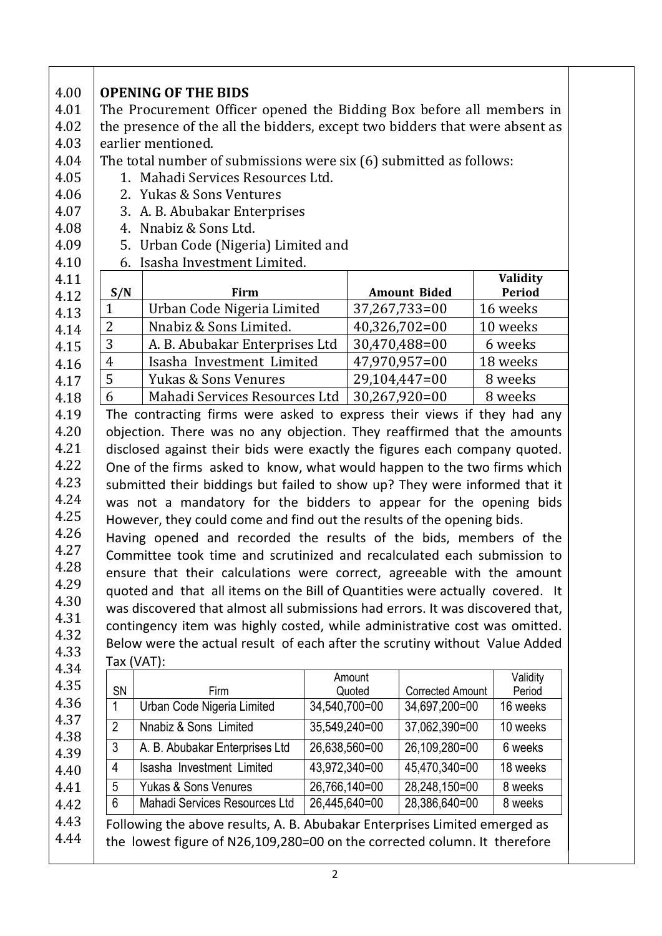| 4.01                                                                                                                                                                                 | <b>OPENING OF THE BIDS</b>                                                                        |                                                                                |                         |                         |                           |  |
|--------------------------------------------------------------------------------------------------------------------------------------------------------------------------------------|---------------------------------------------------------------------------------------------------|--------------------------------------------------------------------------------|-------------------------|-------------------------|---------------------------|--|
| 4.02                                                                                                                                                                                 | The Procurement Officer opened the Bidding Box before all members in                              |                                                                                |                         |                         |                           |  |
| 4.03                                                                                                                                                                                 | the presence of the all the bidders, except two bidders that were absent as<br>earlier mentioned. |                                                                                |                         |                         |                           |  |
| 4.04                                                                                                                                                                                 | The total number of submissions were six (6) submitted as follows:                                |                                                                                |                         |                         |                           |  |
| 4.05                                                                                                                                                                                 | 1. Mahadi Services Resources Ltd.                                                                 |                                                                                |                         |                         |                           |  |
| 4.06                                                                                                                                                                                 | 2. Yukas & Sons Ventures                                                                          |                                                                                |                         |                         |                           |  |
| 4.07                                                                                                                                                                                 | 3. A. B. Abubakar Enterprises                                                                     |                                                                                |                         |                         |                           |  |
| 4.08                                                                                                                                                                                 | Nnabiz & Sons Ltd.<br>4.                                                                          |                                                                                |                         |                         |                           |  |
| 4.09                                                                                                                                                                                 | 5. Urban Code (Nigeria) Limited and                                                               |                                                                                |                         |                         |                           |  |
| 4.10                                                                                                                                                                                 |                                                                                                   | 6. Isasha Investment Limited.                                                  |                         |                         |                           |  |
| 4.11<br>4.12                                                                                                                                                                         | S/N                                                                                               | Firm                                                                           |                         | <b>Amount Bided</b>     | Validity<br><b>Period</b> |  |
| 4.13                                                                                                                                                                                 | $\mathbf{1}$                                                                                      | Urban Code Nigeria Limited                                                     |                         | 37,267,733=00           | 16 weeks                  |  |
| 4.14                                                                                                                                                                                 | $\overline{2}$                                                                                    | Nnabiz & Sons Limited.                                                         |                         | $40,326,702=00$         | 10 weeks                  |  |
| 4.15                                                                                                                                                                                 | 3                                                                                                 | A. B. Abubakar Enterprises Ltd                                                 |                         | 30,470,488=00           | 6 weeks                   |  |
| 4.16                                                                                                                                                                                 | $\overline{4}$                                                                                    | Isasha Investment Limited                                                      |                         | 47,970,957=00           | 18 weeks                  |  |
| 4.17                                                                                                                                                                                 | 5                                                                                                 | <b>Yukas &amp; Sons Venures</b>                                                |                         | 29,104,447=00           | 8 weeks                   |  |
| 4.18                                                                                                                                                                                 | 6                                                                                                 | Mahadi Services Resources Ltd                                                  |                         | $30,267,920=00$         | 8 weeks                   |  |
| 4.19                                                                                                                                                                                 | The contracting firms were asked to express their views if they had any                           |                                                                                |                         |                         |                           |  |
|                                                                                                                                                                                      |                                                                                                   |                                                                                |                         |                         |                           |  |
|                                                                                                                                                                                      |                                                                                                   | objection. There was no any objection. They reaffirmed that the amounts        |                         |                         |                           |  |
|                                                                                                                                                                                      |                                                                                                   | disclosed against their bids were exactly the figures each company quoted.     |                         |                         |                           |  |
|                                                                                                                                                                                      |                                                                                                   | One of the firms asked to know, what would happen to the two firms which       |                         |                         |                           |  |
|                                                                                                                                                                                      |                                                                                                   | submitted their biddings but failed to show up? They were informed that it     |                         |                         |                           |  |
|                                                                                                                                                                                      |                                                                                                   | was not a mandatory for the bidders to appear for the opening bids             |                         |                         |                           |  |
|                                                                                                                                                                                      |                                                                                                   | However, they could come and find out the results of the opening bids.         |                         |                         |                           |  |
|                                                                                                                                                                                      |                                                                                                   | Having opened and recorded the results of the bids, members of the             |                         |                         |                           |  |
|                                                                                                                                                                                      |                                                                                                   | Committee took time and scrutinized and recalculated each submission to        |                         |                         |                           |  |
|                                                                                                                                                                                      |                                                                                                   | ensure that their calculations were correct, agreeable with the amount         |                         |                         |                           |  |
|                                                                                                                                                                                      |                                                                                                   | quoted and that all items on the Bill of Quantities were actually covered. It  |                         |                         |                           |  |
|                                                                                                                                                                                      |                                                                                                   | was discovered that almost all submissions had errors. It was discovered that, |                         |                         |                           |  |
|                                                                                                                                                                                      |                                                                                                   | contingency item was highly costed, while administrative cost was omitted.     |                         |                         |                           |  |
|                                                                                                                                                                                      |                                                                                                   | Below were the actual result of each after the scrutiny without Value Added    |                         |                         |                           |  |
|                                                                                                                                                                                      |                                                                                                   | Tax (VAT):                                                                     |                         |                         |                           |  |
|                                                                                                                                                                                      |                                                                                                   | Firm                                                                           | Amount                  | <b>Corrected Amount</b> | Validity                  |  |
|                                                                                                                                                                                      | SN<br>$\mathbf{1}$                                                                                | Urban Code Nigeria Limited                                                     | Quoted<br>34,540,700=00 | 34,697,200=00           | Period<br>16 weeks        |  |
|                                                                                                                                                                                      | $\overline{2}$                                                                                    | Nnabiz & Sons Limited                                                          | 35,549,240=00           | 37,062,390=00           | 10 weeks                  |  |
|                                                                                                                                                                                      | 3                                                                                                 | A. B. Abubakar Enterprises Ltd                                                 | 26,638,560=00           | 26,109,280=00           | 6 weeks                   |  |
|                                                                                                                                                                                      | 4                                                                                                 | Isasha Investment Limited                                                      | 43,972,340=00           | 45,470,340=00           | 18 weeks                  |  |
|                                                                                                                                                                                      | 5                                                                                                 | <b>Yukas &amp; Sons Venures</b>                                                | 26,766,140=00           | 28,248,150=00           | 8 weeks                   |  |
| 4.20<br>4.21<br>4.22<br>4.23<br>4.24<br>4.25<br>4.26<br>4.27<br>4.28<br>4.29<br>4.30<br>4.31<br>4.32<br>4.33<br>4.34<br>4.35<br>4.36<br>4.37<br>4.38<br>4.39<br>4.40<br>4.41<br>4.42 | 6                                                                                                 | Mahadi Services Resources Ltd                                                  | 26,445,640=00           | 28,386,640=00           | 8 weeks                   |  |